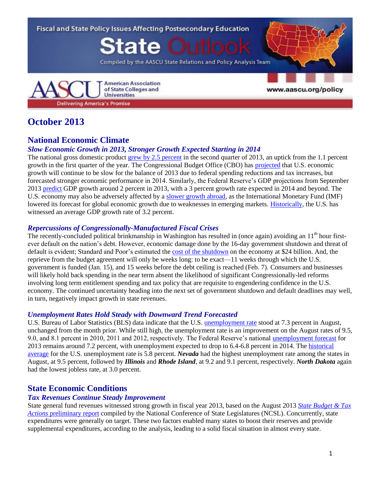

## **October 2013**

### **National Economic Climate**

#### *Slow Economic Growth in 2013, Stronger Growth Expected Starting in 2014*

The national gross domestic product [grew by 2.5](http://www.bea.gov/newsreleases/national/gdp/gdpnewsrelease.htm) percent in the second quarter of 2013, an uptick from the 1.1 percent growth in the first quarter of the year. The Congressional Budget Office (CBO) has [projected](http://www.cbo.gov/sites/default/files/cbofiles/attachments/43907-BudgetOutlook.pdf) that U.S. economic growth will continue to be slow for the balance of 2013 due to federal spending reductions and tax increases, but forecasted stronger economic performance in 2014. Similarly, the Federal Reserve's GDP projections from September 2013 [predict](http://www.federalreserve.gov/monetarypolicy/files/fomcprojtabl20130918.pdf) GDP growth around 2 percent in 2013, with a 3 percent growth rate expected in 2014 and beyond. The U.S. economy may also be adversely affected by a [slower growth abroad,](http://www.bbc.co.uk/news/business-24444134) as the International Monetary Fund (IMF) lowered its forecast for global economic growth due to weaknesses in emerging markets. [Historically,](http://www.tradingeconomics.com/united-states/gdp-growth) the U.S. has witnessed an average GDP growth rate of 3.2 percent.

#### *Repercussions of Congressionally-Manufactured Fiscal Crises*

The recently-concluded political brinkmanship in Washington has resulted in (once again) avoiding an  $11<sup>th</sup>$  hour firstever default on the nation's debt. However, economic damage done by the 16-day government shutdown and threat of default is evident; Standard and Poor's estimated th[e cost of the](http://swampland.time.com/2013/10/17/heres-what-the-government-shutdown-cost-the-economy/) shutdown on the economy at \$24 billion. And, the reprieve from the budget agreement will only be weeks long: to be exact—11 weeks through which the U.S. government is funded (Jan. 15), and 15 weeks before the debt ceiling is reached (Feb. 7). Consumers and businesses will likely hold back spending in the near term absent the likelihood of significant Congressionally-led reforms involving long term entitlement spending and tax policy that are requisite to engendering confidence in the U.S. economy. The continued uncertainty heading into the next set of government shutdown and default deadlines may well, in turn, negatively impact growth in state revenues.

#### *Unemployment Rates Hold Steady with Downward Trend Forecasted*

U.S. Bureau of Labor Statistics (BLS) data indicate that the U.S. [unemployment rate](http://www.bls.gov/news.release/empsit.nr0.htm) stood at 7.3 percent in August, unchanged from the month prior. While still high, the unemployment rate is an improvement on the August rates of 9.5, 9.0, and 8.1 percent in 2010, 2011 and 2012, respectively. The Federal Reserve's national [unemployment forecast](http://www.federalreserve.gov/monetarypolicy/files/fomcprojtabl20130918.pdf) for 2013 remains around 7.2 percent, with unemployment expected to drop to 6.4-6.8 percent in 2014. The [historical](http://www.tradingeconomics.com/united-states/unemployment-rate)  [average](http://www.tradingeconomics.com/united-states/unemployment-rate) for the U.S. unemployment rate is 5.8 percent. *Nevada* had the highest unemployment rate among the states in August, at 9.5 percent, followed by *Illinois* and *Rhode Island*, at 9.2 and 9.1 percent, respectively. *North Dakota* again had the lowest jobless rate, at 3.0 percent.

## **State Economic Conditions**

#### *Tax Revenues Continue Steady Improvement*

State general fund revenues witnessed strong growth in fiscal year 2013, based on the August 2013 *[State Budget & Tax](http://www.ncsl.org/Portals/1/Documents/fiscal/SBTA_PreliminaryReport_final.pdf)  Actions* [preliminary report](http://www.ncsl.org/Portals/1/Documents/fiscal/SBTA_PreliminaryReport_final.pdf) compiled by the National Conference of State Legislatures (NCSL). Concurrently, state expenditures were generally on target. These two factors enabled many states to boost their reserves and provide supplemental expenditures, according to the analysis, leading to a solid fiscal situation in almost every state.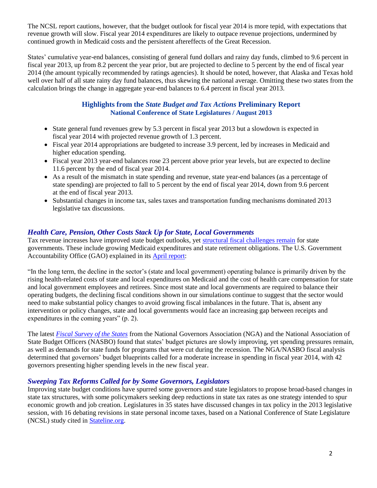The NCSL report cautions, however, that the budget outlook for fiscal year 2014 is more tepid, with expectations that revenue growth will slow. Fiscal year 2014 expenditures are likely to outpace revenue projections, undermined by continued growth in Medicaid costs and the persistent aftereffects of the Great Recession.

States' cumulative year-end balances, consisting of general fund dollars and rainy day funds, climbed to 9.6 percent in fiscal year 2013, up from 8.2 percent the year prior, but are projected to decline to 5 percent by the end of fiscal year 2014 (the amount typically recommended by ratings agencies). It should be noted, however, that Alaska and Texas hold well over half of all state rainy day fund balances, thus skewing the national average. Omitting these two states from the calculation brings the change in aggregate year-end balances to 6.4 percent in fiscal year 2013.

#### **Highlights from the** *State Budget and Tax Actions* **Preliminary Report National Conference of State Legislatures / August 2013**

- State general fund revenues grew by 5.3 percent in fiscal year 2013 but a slowdown is expected in fiscal year 2014 with projected revenue growth of 1.3 percent.
- Fiscal year 2014 appropriations are budgeted to increase 3.9 percent, led by increases in Medicaid and higher education spending.
- Fiscal year 2013 year-end balances rose 23 percent above prior year levels, but are expected to decline 11.6 percent by the end of fiscal year 2014.
- As a result of the mismatch in state spending and revenue, state year-end balances (as a percentage of state spending) are projected to fall to 5 percent by the end of fiscal year 2014, down from 9.6 percent at the end of fiscal year 2013.
- Substantial changes in income tax, sales taxes and transportation funding mechanisms dominated 2013 legislative tax discussions.

#### *Health Care, Pension, Other Costs Stack Up for State, Local Governments*

Tax revenue increases have improved state budget outlooks, yet [structural fiscal challenges remain](http://www.nytimes.com/2013/06/01/us/surpluses-help-but-fiscal-woes-for-states-go-on.html?smid=tw-share&_r=1&) for state governments. These include growing Medicaid expenditures and state retirement obligations. The U.S. Government Accountability Office (GAO) explained in its [April report:](http://www.gao.gov/assets/660/654255.pdf)

"In the long term, the decline in the sector's (state and local government) operating balance is primarily driven by the rising health-related costs of state and local expenditures on Medicaid and the cost of health care compensation for state and local government employees and retirees. Since most state and local governments are required to balance their operating budgets, the declining fiscal conditions shown in our simulations continue to suggest that the sector would need to make substantial policy changes to avoid growing fiscal imbalances in the future. That is, absent any intervention or policy changes, state and local governments would face an increasing gap between receipts and expenditures in the coming years" (p. 2).

The latest *[Fiscal Survey of the States](http://www.nga.org/files/live/sites/NGA/files/pdf/2013/FSS1306.PDF)* from the National Governors Association (NGA) and the National Association of State Budget Officers (NASBO) found that states' budget pictures are slowly improving, yet spending pressures remain, as well as demands for state funds for programs that were cut during the recession. The NGA/NASBO fiscal analysis determined that governors' budget blueprints called for a moderate increase in spending in fiscal year 2014, with 42 governors presenting higher spending levels in the new fiscal year.

#### *Sweeping Tax Reforms Called for by Some Governors, Legislators*

Improving state budget conditions have spurred some governors and state legislators to propose broad-based changes in state tax structures, with some policymakers seeking deep reductions in state tax rates as one strategy intended to spur economic growth and job creation. Legislatures in 35 states have discussed changes in tax policy in the 2013 legislative session, with 16 debating revisions in state personal income taxes, based on a National Conference of State Legislature (NCSL) study cited in [Stateline.org.](http://www.pewstates.org/projects/stateline/headlines/as-revenues-rebounded-many-states-cut-taxes-85899482175)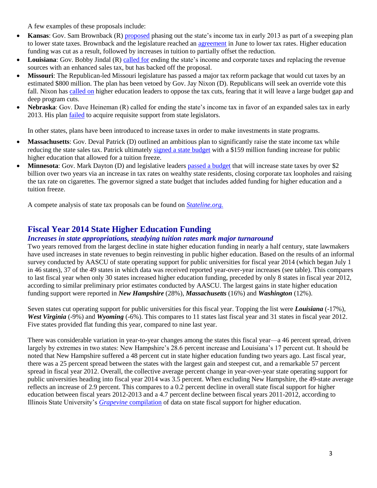A few examples of these proposals include:

- **Kansas**: Gov. Sam Brownback (R) [proposed](http://www.nytimes.com/2013/01/24/us/politics/gov-sam-brownback-seeks-to-end-kansas-income-tax.html) phasing out the state's income tax in early 2013 as part of a sweeping plan to lower state taxes. Brownback and the legislature reached an [agreement](http://www.kansascity.com/2013/06/13/4290891/brownback-signs-tax-bill.html) in June to lower tax rates. Higher education funding was cut as a result, followed by increases in tuition to partially offset the reduction.
- **Louisiana**: Gov. Bobby Jindal (R) [called for](http://www.nytimes.com/2013/04/09/us/gov-bobby-jindal-shelves-tax-plan-in-louisiana.html?pagewanted=all&_r=0) ending the state's income and corporate taxes and replacing the revenue sources with an enhanced sales tax, but has backed off the proposal.
- **Missouri**: The Republican-led Missouri legislature has passed a major tax reform package that would cut taxes by an estimated \$800 million. The plan has been vetoed by Gov. Jay Nixon (D). Republicans will seek an override vote this fall. Nixon has [called on](http://www.news-leader.com/article/20130611/NEWS01/306110111/higher-education-funding-gov-jay-nixon-veto) higher education leaders to oppose the tax cuts, fearing that it will leave a large budget gap and deep program cuts.
- **Nebraska**: Gov. Dave Heineman (R) called for ending the state's income tax in favor of an expanded sales tax in early 2013. His plan **failed** to acquire requisite support from state legislators.

In other states, plans have been introduced to increase taxes in order to make investments in state programs.

- **Massachusetts**: Gov. Deval Patrick (D) outlined an ambitious plan to significantly raise the state income tax while reducing the state sales tax. Patrick ultimatel[y signed a state budget](http://www.masslive.com/politics/index.ssf/2013/07/gov_deval_patrick_signs_pared.html) with a \$159 million funding increase for public higher education that allowed for a tuition freeze.
- **Minnesota**: Gov. Mark Dayton (D) and legislative leaders [passed a budget](http://www.postbulletin.com/news/politics/dayton-signs-minn-budget-bills-other-legislation/article_66a3db72-6a1f-5ab5-903f-d3dda48f142d.html) that will increase state taxes by over \$2 billion over two years via an increase in tax rates on wealthy state residents, closing corporate tax loopholes and raising the tax rate on cigarettes. The governor signed a state budget that includes added funding for higher education and a tuition freeze.

A compete analysis of state tax proposals can be found on *[Stateline.org.](http://www.pewstates.org/projects/stateline/headlines/no-new-taxes-it-depends-on-where-you-live-85899482890)*

## **Fiscal Year 2014 State Higher Education Funding**

#### *Increases in state appropriations, steadying tuition rates mark major turnaround*

Two years removed from the largest decline in state higher education funding in nearly a half century, state lawmakers have used increases in state revenues to begin reinvesting in public higher education. Based on the results of an informal survey conducted by AASCU of state operating support for public universities for fiscal year 2014 (which began July 1 in 46 states), 37 of the 49 states in which data was received reported year-over-year increases (see table). This compares to last fiscal year when only 30 states increased higher education funding, preceded by only 8 states in fiscal year 2012, according to similar preliminary prior estimates conducted by AASCU. The largest gains in state higher education funding support were reported in *New Hampshire* (28%), *Massachusetts* (16%) and *Washington* (12%).

Seven states cut operating support for public universities for this fiscal year. Topping the list were *Louisiana* (-17%), *West Virginia* (-9%) and *Wyoming* (-6%). This compares to 11 states last fiscal year and 31 states in fiscal year 2012. Five states provided flat funding this year, compared to nine last year.

There was considerable variation in year-to-year changes among the states this fiscal year—a 46 percent spread, driven largely by extremes in two states: New Hampshire's 28.6 percent increase and Louisiana's 17 percent cut. It should be noted that New Hampshire suffered a 48 percent cut in state higher education funding two years ago. Last fiscal year, there was a 25 percent spread between the states with the largest gain and steepest cut, and a remarkable 57 percent spread in fiscal year 2012. Overall, the collective average percent change in year-over-year state operating support for public universities heading into fiscal year 2014 was 3.5 percent. When excluding New Hampshire, the 49-state average reflects an increase of 2.9 percent. This compares to a 0.2 percent decline in overall state fiscal support for higher education between fiscal years 2012-2013 and a 4.7 percent decline between fiscal years 2011-2012, according to Illinois State University's *Grapevine* [compilation](http://grapevine.illinoisstate.edu/tables/index.htm) of data on state fiscal support for higher education.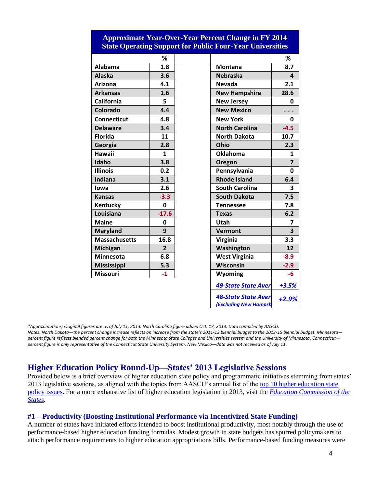| <b>State Operating Support for Public Four-Year Universities</b> |                |  |                       |                         |
|------------------------------------------------------------------|----------------|--|-----------------------|-------------------------|
|                                                                  | ℅              |  |                       | %                       |
| Alabama                                                          | 1.8            |  | <b>Montana</b>        | 8.7                     |
| <b>Alaska</b>                                                    | 3.6            |  | <b>Nebraska</b>       | 4                       |
| Arizona                                                          | 4.1            |  | <b>Nevada</b>         | 2.1                     |
| <b>Arkansas</b>                                                  | 1.6            |  | <b>New Hampshire</b>  | 28.6                    |
| California                                                       | 5              |  | <b>New Jersey</b>     | 0                       |
| Colorado                                                         | 4.4            |  | <b>New Mexico</b>     |                         |
| <b>Connecticut</b>                                               | 4.8            |  | <b>New York</b>       | 0                       |
| <b>Delaware</b>                                                  | 3.4            |  | <b>North Carolina</b> | $-4.5$                  |
| <b>Florida</b>                                                   | 11             |  | <b>North Dakota</b>   | 10.7                    |
| Georgia                                                          | 2.8            |  | Ohio                  | 2.3                     |
| <b>Hawaii</b>                                                    | $\mathbf{1}$   |  | <b>Oklahoma</b>       | 1                       |
| Idaho                                                            | 3.8            |  | Oregon                | $\overline{7}$          |
| <b>Illinois</b>                                                  | 0.2            |  | Pennsylvania          | 0                       |
| Indiana                                                          | 3.1            |  | <b>Rhode Island</b>   | 6.4                     |
| lowa                                                             | 2.6            |  | <b>South Carolina</b> | 3                       |
| <b>Kansas</b>                                                    | $-3.3$         |  | <b>South Dakota</b>   | 7.5                     |
| Kentucky                                                         | 0              |  | <b>Tennessee</b>      | 7.8                     |
| Louisiana                                                        | $-17.6$        |  | <b>Texas</b>          | 6.2                     |
| <b>Maine</b>                                                     | 0              |  | Utah                  | $\overline{ }$          |
| <b>Maryland</b>                                                  | 9              |  | <b>Vermont</b>        | $\overline{\mathbf{3}}$ |
| <b>Massachusetts</b>                                             | 16.8           |  | Virginia              | 3.3                     |
| <b>Michigan</b>                                                  | $\overline{2}$ |  | Washington            | 12                      |
| <b>Minnesota</b>                                                 | 6.8            |  | <b>West Virginia</b>  | $-8.9$                  |

# **Approximate Year-Over-Year Percent Change in FY 2014**

*\*Approximations; Original figures are as of July 11, 2013. North Carolina figure added Oct. 17, 2013. Data compiled by AASCU. Notes: North Dakota—the percent change increase reflects an increase from the state's 2011-13 biennial budget to the 2013-15 biennial budget. Minnesota percent figure reflects blended percent change for both the Minnesota State Colleges and Universities system and the University of Minnesota. Connecticut percent figure is only representative of the Connecticut State University System. New Mexico—data was not received as of July 11.*

**Mississippi 5.3 Wisconsin -2.9 Missouri -1 Wyoming -6**

*49-State State Average+3.5%*

*+2.9%*

**48-State State Avera (Excluding New Hampsh** 

## **Higher Education Policy Round-Up—States' 2013 Legislative Sessions**

Provided below is a brief overview of higher education state policy and programmatic initiatives stemming from states' 2013 legislative sessions, as aligned with the topics from AASCU's annual list of the top 10 higher education state [policy issues.](http://www.aascu.org/policy/publications/policy-matters/topten2013.pdf) For a more exhaustive list of higher education legislation in 2013, visit the *[Education Commission of the](http://www.ecs.org/ecs/ecscat.nsf/Web2013All?OpenView&Count=-1)  [States.](http://www.ecs.org/ecs/ecscat.nsf/Web2013All?OpenView&Count=-1)* 

#### **#1—Productivity (Boosting Institutional Performance via Incentivized State Funding)**

A number of states have initiated efforts intended to boost institutional productivity, most notably through the use of performance-based higher education funding formulas. Modest growth in state budgets has spurred policymakers to attach performance requirements to higher education appropriations bills. Performance-based funding measures were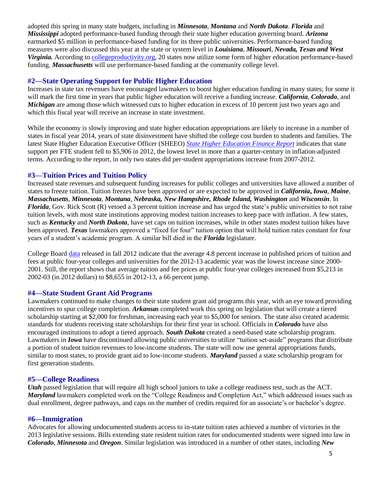adopted this spring in many state budgets, including in *Minnesota*, *Montana* and *North Dakota*. *Florida* and *Mississippi* adopted performance-based funding through their state higher education governing board. *Arizona*  earmarked \$5 million in performance-based funding for its three public universities. Performance-based funding measures were also discussed this year at the state or system level in *Louisiana*, *Missouri*, *Nevada, Texas and West Virginia.* According to [collegeproductivity.org,](http://www.collegeproductivity.org/states) 20 states now utilize some form of higher education performance-based funding. *Massachusetts* will use performance-based funding at the community college level.

#### **#2—State Operating Support for Public Higher Education**

Increases in state tax revenues have encouraged lawmakers to boost higher education funding in many states; for some it will mark the first time in years that public higher education will receive a funding increase. *California*, *Colorado*, and *Michigan* are among those which witnessed cuts to higher education in excess of 10 percent just two years ago and which this fiscal year will receive an increase in state investment.

While the economy is slowly improving and state higher education appropriations are likely to increase in a number of states in fiscal year 2014, years of state disinvestment have shifted the college cost burden to students and families. The latest State Higher Education Executive Officer (SHEEO) *[State Higher Education Finance Report](http://www.sheeo.org/sites/default/files/publications/SHEF%20FY%2012-20130322rev.pdf)* indicates that state support per FTE student fell to \$5,906 in 2012, the lowest level in more than a quarter-century in inflation-adjusted terms. According to the report, in only two states did per-student appropriations increase from 2007-2012.

#### **#3—Tuition Prices and Tuition Policy**

Increased state revenues and subsequent funding increases for public colleges and universities have allowed a number of states to freeze tuition. Tuition freezes have been approved or are expected to be approved in *California***,** *Iowa*, *Maine*, *Massachusetts*, *Minnesota*, *Montana*, *Nebraska, New Hampshire, Rhode Island, Washington* and *Wisconsin*. In *Florida*, Gov. Rick Scott (R) vetoed a 3 percent tuition increase and has urged the state's public universities to not raise tuition levels, with most state institutions approving modest tuition increases to keep pace with inflation. A few states, such as *Kentucky* and *North Dakota*, have set caps on tuition increases, while in other states modest tuition hikes have been approved. *Texas* lawmakers approved a "fixed for four" tuition option that will hold tuition rates constant for four years of a student's academic program. A similar bill died in the *Florida* legislature.

College Board [data](http://trends.collegeboard.org/sites/default/files/college-pricing-2012-full-report-121203.pdf) released in fall 2012 indicate that the average 4.8 percent increase in published prices of tuition and fees at public four-year colleges and universities for the 2012-13 academic year was the lowest increase since 2000- 2001. Still, the report shows that average tuition and fee prices at public four-year colleges increased from \$5,213 in 2002-03 (in 2012 dollars) to \$8,655 in 2012-13, a 66 percent jump.

#### **#4—State Student Grant Aid Programs**

Lawmakers continued to make changes to their state student grant aid programs this year, with an eye toward providing incentives to spur college completion. *Arkansas* completed work this spring on legislation that will create a tiered scholarship starting at \$2,000 for freshman, increasing each year to \$5,000 for seniors. The state also created academic standards for students receiving state scholarships for their first year in school. Officials in *Colorado* have also encouraged institutions to adopt a tiered approach. *South Dakota* created a need-based state scholarship program. Lawmakers in *Iowa* have discontinued allowing public universities to utilize "tuition set-aside" programs that distribute a portion of student tuition revenues to low-income students. The state will now use general appropriations funds, similar to most states, to provide grant aid to low-income students. *Maryland* passed a state scholarship program for first generation students.

#### **#5—College Readiness**

*Utah* passed legislation that will require all high school juniors to take a college readiness test, such as the ACT. *Maryland* lawmakers completed work on the "College Readiness and Completion Act," which addressed issues such as dual enrollment, degree pathways, and caps on the number of credits required for an associate's or bachelor's degree.

#### **#6—Immigration**

Advocates for allowing undocumented students access to in-state tuition rates achieved a number of victories in the 2013 legislative sessions. Bills extending state resident tuition rates for undocumented students were signed into law in *Colorado*, *Minnesota* and *Oregon*. Similar legislation was introduced in a number of other states, including *New*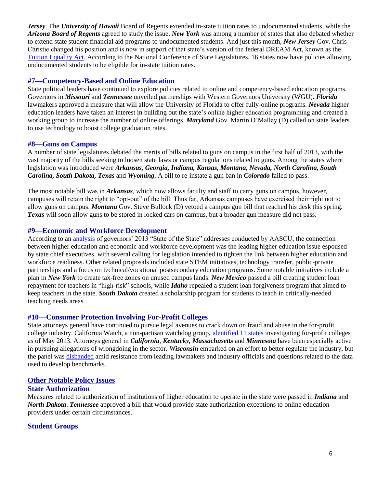*Jersey*. The *University of Hawaii* Board of Regents extended in-state tuition rates to undocumented students, while the *Arizona Board of Regents* agreed to study the issue. *New York* was among a number of states that also debated whether to extend state student financial aid programs to undocumented students. And just this month, *New Jersey* Gov. Chris Christie changed his position and is now in support of that state's version of the federal DREAM Act, known as the [Tuition Equality Act.](http://blog.nj.com/njv_linda_stamato/2013/10/christie_changes_his_tune_on_t.html) According to the National Conference of State Legislatures, 16 states now have policies allowing undocumented students to be eligible for in-state tuition rates.

#### **#7—Competency-Based and Online Education**

State political leaders have continued to explore policies related to online and competency-based education programs. Governors in *Missouri* and *Tennessee* unveiled partnerships with Western Governors University (WGU). *Florida* lawmakers approved a measure that will allow the University of Florida to offer fully-online programs. *Nevada* higher education leaders have taken an interest in building out the state's online higher education programming and created a working group to increase the number of online offerings. *Maryland* Gov. Martin O'Malley (D) called on state leaders to use technology to boost college graduation rates.

#### **#8—Guns on Campus**

A number of state legislatures debated the merits of bills related to guns on campus in the first half of 2013, with the vast majority of the bills seeking to loosen state laws or campus regulations related to guns. Among the states where legislation was introduced were *Arkansas, Georgia, Indiana, Kansas, Montana, Nevada, North Carolina, South Carolina, South Dakota, Texas* and *Wyoming*. A bill to re-instate a gun ban in *Colorado* failed to pass.

The most notable bill was in *Arkansas*, which now allows faculty and staff to carry guns on campus, however, campuses will retain the right to "opt-out" of the bill. Thus far, Arkansas campuses have exercised their right not to allow guns on campus. *Montana* Gov. Steve Bullock (D) vetoed a campus gun bill that reached his desk this spring. *Texas* will soon allow guns to be stored in locked cars on campus, but a broader gun measure did not pass.

#### **#9—Economic and Workforce Development**

According to an [analysis](http://congressweb.com/aascu/advisoryView.cfm?id=134784) of governors' 2013 "State of the State" addresses conducted by AASCU, the connection between higher education and economic and workforce development was the leading higher education issue espoused by state chief executives, with several calling for legislation intended to tighten the link between higher education and workforce readiness. Other related proposals included state STEM initiatives, technology transfer, public-private partnerships and a focus on technical/vocational postsecondary education programs. Some notable initiatives include a plan in *New York* to create tax-free zones on unused campus lands. *New Mexico* passed a bill creating student loan repayment for teachers in "high-risk" schools, while *Idaho* repealed a student loan forgiveness program that aimed to keep teachers in the state. *South Dakota* created a scholarship program for students to teach in critically-needed teaching needs areas.

#### **#10—Consumer Protection Involving For-Profit Colleges**

State attorneys general have continued to pursue legal avenues to crack down on fraud and abuse in the for-profit college industry. California Watch, a non-partisan watchdog group[, identified](http://californiawatch.org/data/state-attorneys-general-investigating-profit-colleges) 11 states investigating for-profit colleges as of May 2013. Attorneys general in *California*, *Kentucky, Massachusetts* and *Minnesota* have been especially active in pursuing allegations of wrongdoing in the sector. *Wisconsin* embarked on an effort to better regulate the industry, but the panel was [disbanded](http://www.insidehighered.com/news/2013/07/03/aftermath-profit-fight-wisconsin) amid resistance from leading lawmakers and industry officials and questions related to the data used to develop benchmarks.

#### **Other Notable Policy Issues**

#### **State Authorization**

Measures related to authorization of institutions of higher education to operate in the state were passed in *Indiana* and *North Dakota*. *Tennessee* approved a bill that would provide state authorization exceptions to online education providers under certain circumstances.

#### **Student Groups**